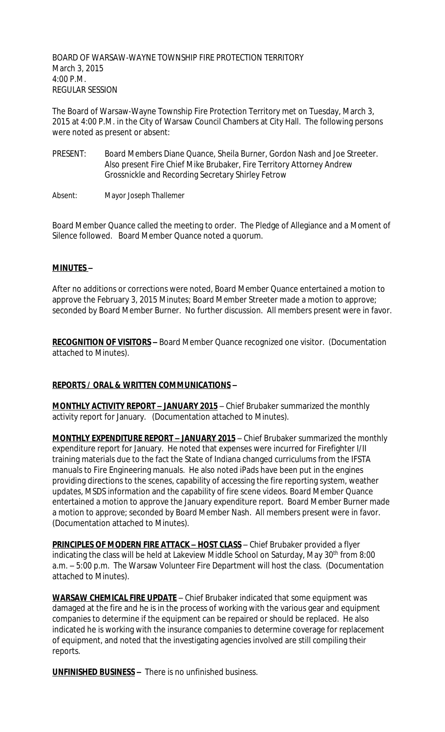BOARD OF WARSAW-WAYNE TOWNSHIP FIRE PROTECTION TERRITORY March 3, 2015 4:00 P.M. REGULAR SESSION

The Board of Warsaw-Wayne Township Fire Protection Territory met on Tuesday, March 3, 2015 at 4:00 P.M. in the City of Warsaw Council Chambers at City Hall. The following persons were noted as present or absent:

- PRESENT: Board Members Diane Quance, Sheila Burner, Gordon Nash and Joe Streeter. Also present Fire Chief Mike Brubaker, Fire Territory Attorney Andrew Grossnickle and Recording Secretary Shirley Fetrow
- Absent: Mayor Joseph Thallemer

Board Member Quance called the meeting to order. The Pledge of Allegiance and a Moment of Silence followed. Board Member Quance noted a quorum.

## **MINUTES –**

After no additions or corrections were noted, Board Member Quance entertained a motion to approve the February 3, 2015 Minutes; Board Member Streeter made a motion to approve; seconded by Board Member Burner. No further discussion. All members present were in favor.

**RECOGNITION OF VISITORS –** Board Member Quance recognized one visitor. (Documentation attached to Minutes).

## **REPORTS / ORAL & WRITTEN COMMUNICATIONS –**

**MONTHLY ACTIVITY REPORT - JANUARY 2015** - Chief Brubaker summarized the monthly activity report for January. (Documentation attached to Minutes).

**MONTHLY EXPENDITURE REPORT – JANUARY 2015** – Chief Brubaker summarized the monthly expenditure report for January. He noted that expenses were incurred for Firefighter I/II training materials due to the fact the State of Indiana changed curriculums from the IFSTA manuals to Fire Engineering manuals. He also noted iPads have been put in the engines providing directions to the scenes, capability of accessing the fire reporting system, weather updates, MSDS information and the capability of fire scene videos. Board Member Quance entertained a motion to approve the January expenditure report. Board Member Burner made a motion to approve; seconded by Board Member Nash. All members present were in favor. (Documentation attached to Minutes).

**PRINCIPLES OF MODERN FIRE ATTACK - HOST CLASS - Chief Brubaker provided a flyer** indicating the class will be held at Lakeview Middle School on Saturday, May 30<sup>th</sup> from 8:00 a.m. – 5:00 p.m. The Warsaw Volunteer Fire Department will host the class. (Documentation attached to Minutes).

**WARSAW CHEMICAL FIRE UPDATE** – Chief Brubaker indicated that some equipment was damaged at the fire and he is in the process of working with the various gear and equipment companies to determine if the equipment can be repaired or should be replaced. He also indicated he is working with the insurance companies to determine coverage for replacement of equipment, and noted that the investigating agencies involved are still compiling their reports.

**UNFINISHED BUSINESS –** There is no unfinished business.